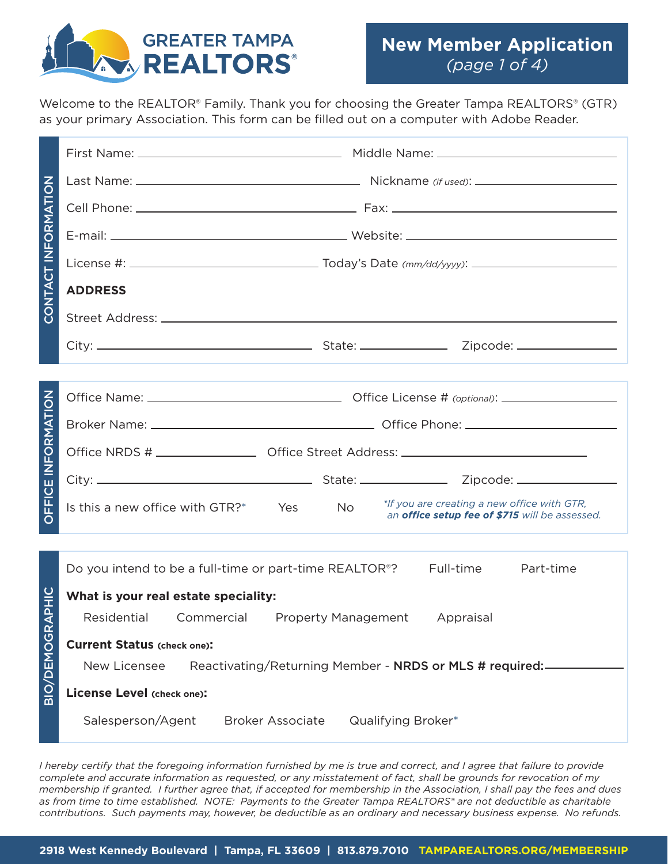

Welcome to the REALTOR® Family. Thank you for choosing the Greater Tampa REALTORS® (GTR) as your primary Association. This form can be filled out on a computer with Adobe Reader.

| CONTACT INFORMATION       |                                                                                                                                                                                                                                                                                                                                                                                                                                                                                                                                                                                                                        |  |  |  |  |  |  |
|---------------------------|------------------------------------------------------------------------------------------------------------------------------------------------------------------------------------------------------------------------------------------------------------------------------------------------------------------------------------------------------------------------------------------------------------------------------------------------------------------------------------------------------------------------------------------------------------------------------------------------------------------------|--|--|--|--|--|--|
|                           |                                                                                                                                                                                                                                                                                                                                                                                                                                                                                                                                                                                                                        |  |  |  |  |  |  |
|                           |                                                                                                                                                                                                                                                                                                                                                                                                                                                                                                                                                                                                                        |  |  |  |  |  |  |
|                           |                                                                                                                                                                                                                                                                                                                                                                                                                                                                                                                                                                                                                        |  |  |  |  |  |  |
|                           | <b>ADDRESS</b>                                                                                                                                                                                                                                                                                                                                                                                                                                                                                                                                                                                                         |  |  |  |  |  |  |
|                           |                                                                                                                                                                                                                                                                                                                                                                                                                                                                                                                                                                                                                        |  |  |  |  |  |  |
|                           |                                                                                                                                                                                                                                                                                                                                                                                                                                                                                                                                                                                                                        |  |  |  |  |  |  |
|                           |                                                                                                                                                                                                                                                                                                                                                                                                                                                                                                                                                                                                                        |  |  |  |  |  |  |
|                           |                                                                                                                                                                                                                                                                                                                                                                                                                                                                                                                                                                                                                        |  |  |  |  |  |  |
|                           |                                                                                                                                                                                                                                                                                                                                                                                                                                                                                                                                                                                                                        |  |  |  |  |  |  |
|                           | Office NRDS # ____________________ Office Street Address: _______________________                                                                                                                                                                                                                                                                                                                                                                                                                                                                                                                                      |  |  |  |  |  |  |
|                           |                                                                                                                                                                                                                                                                                                                                                                                                                                                                                                                                                                                                                        |  |  |  |  |  |  |
| <b>DEFICE INFORMATION</b> | *If you are creating a new office with GTR,<br>Is this a new office with GTR?* Yes<br><b>No</b><br>an office setup fee of \$715 will be assessed.                                                                                                                                                                                                                                                                                                                                                                                                                                                                      |  |  |  |  |  |  |
|                           |                                                                                                                                                                                                                                                                                                                                                                                                                                                                                                                                                                                                                        |  |  |  |  |  |  |
|                           | Do you intend to be a full-time or part-time REALTOR <sup>®</sup> ? Full-time<br>Part-time                                                                                                                                                                                                                                                                                                                                                                                                                                                                                                                             |  |  |  |  |  |  |
|                           | What is your real estate speciality:                                                                                                                                                                                                                                                                                                                                                                                                                                                                                                                                                                                   |  |  |  |  |  |  |
| BIO/DEMOGRAPHIC           | Residential Commercial Property Management Appraisal                                                                                                                                                                                                                                                                                                                                                                                                                                                                                                                                                                   |  |  |  |  |  |  |
|                           | <b>Current Status (check one):</b>                                                                                                                                                                                                                                                                                                                                                                                                                                                                                                                                                                                     |  |  |  |  |  |  |
|                           | New Licensee<br>Reactivating/Returning Member - NRDS or MLS # required:                                                                                                                                                                                                                                                                                                                                                                                                                                                                                                                                                |  |  |  |  |  |  |
|                           | License Level (check one):                                                                                                                                                                                                                                                                                                                                                                                                                                                                                                                                                                                             |  |  |  |  |  |  |
|                           | Salesperson/Agent<br><b>Broker Associate</b><br>Qualifying Broker*                                                                                                                                                                                                                                                                                                                                                                                                                                                                                                                                                     |  |  |  |  |  |  |
|                           | I hereby certify that the foregoing information furnished by me is true and correct, and I agree that failure to provide<br>complete and accurate information as requested, or any misstatement of fact, shall be grounds for revocation of my<br>membership if granted. I further agree that, if accepted for membership in the Association, I shall pay the fees and dues<br>as from time to time established. NOTE: Payments to the Greater Tampa REALTORS® are not deductible as charitable<br>contributions. Such payments may, however, be deductible as an ordinary and necessary business expense. No refunds. |  |  |  |  |  |  |
|                           | 2918 West Kennedy Boulevard   Tampa, FL 33609   813.879.7010 TAMPAREALTORS.ORG/MEMBERSHIP                                                                                                                                                                                                                                                                                                                                                                                                                                                                                                                              |  |  |  |  |  |  |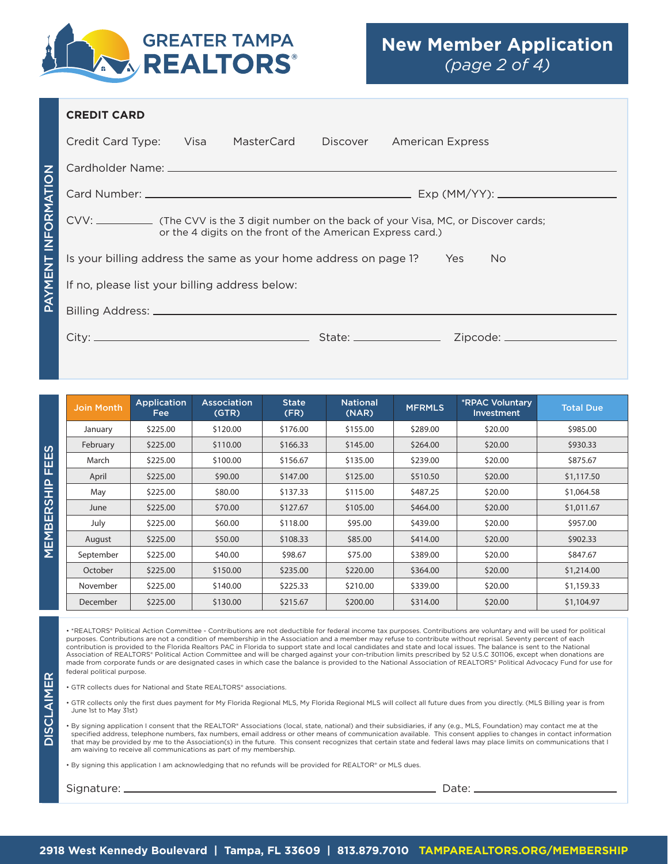

## **CREDIT CARD**

| Credit Card Type: Visa                                                         |  | MasterCard | Discover | <b>American Express</b> |  |
|--------------------------------------------------------------------------------|--|------------|----------|-------------------------|--|
|                                                                                |  |            |          |                         |  |
|                                                                                |  |            |          |                         |  |
| or the 4 digits on the front of the American Express card.)                    |  |            |          |                         |  |
| Is your billing address the same as your home address on page 1?<br>Yes<br>No. |  |            |          |                         |  |
| If no, please list your billing address below:                                 |  |            |          |                         |  |
|                                                                                |  |            |          |                         |  |
|                                                                                |  |            |          |                         |  |

DISCLAIMER

**DISCLAIMER** 

PAYMENT INFORMATION

**PAYMENT INFORMATION** 

| <b>Join Month</b> | Application<br>Fee: | <b>Association</b><br>(GTR) | <b>State</b><br>(FR) | <b>National</b><br>(NAR) | <b>MFRMLS</b> | <b>*RPAC Voluntary</b><br><b>Investment</b> | <b>Total Due</b> |
|-------------------|---------------------|-----------------------------|----------------------|--------------------------|---------------|---------------------------------------------|------------------|
| January           | \$225.00            | \$120.00                    | \$176.00             | \$155.00                 | \$289.00      | \$20.00                                     | \$985.00         |
| February          | \$225.00            | \$110.00                    | \$166.33             | \$145.00                 | \$264.00      | \$20.00                                     | \$930.33         |
| March             | \$225.00            | \$100.00                    | \$156.67             | \$135.00                 | \$239.00      | \$20.00                                     | \$875.67         |
| April             | \$225.00            | \$90.00                     | \$147.00             | \$125.00                 | \$510.50      | \$20.00                                     | \$1,117.50       |
| May               | \$225.00            | \$80.00                     | \$137.33             | \$115.00                 | \$487.25      | \$20.00                                     | \$1,064.58       |
| June              | \$225.00            | \$70.00                     | \$127.67             | \$105.00                 | \$464.00      | \$20.00                                     | \$1,011.67       |
| July              | \$225.00            | \$60.00                     | \$118.00             | \$95.00                  | \$439.00      | \$20.00                                     | \$957.00         |
| August            | \$225.00            | \$50.00                     | \$108.33             | \$85.00                  | \$414.00      | \$20.00                                     | \$902.33         |
| September         | \$225.00            | \$40.00                     | \$98.67              | \$75.00                  | \$389.00      | \$20.00                                     | \$847.67         |
| October           | \$225.00            | \$150.00                    | \$235.00             | \$220.00                 | \$364.00      | \$20.00                                     | \$1,214.00       |
| November          | \$225.00            | \$140.00                    | \$225.33             | \$210.00                 | \$339.00      | \$20.00                                     | \$1,159.33       |
| December          | \$225.00            | \$130.00                    | \$215.67             | \$200.00                 | \$314.00      | \$20.00                                     | \$1,104.97       |

• \*REALTORS® Political Action Committee - Contributions are not deductible for federal income tax purposes. Contributions are voluntary and will be used for political purposes. Contributions are not a condition of membership in the Association and a member may refuse to contribute without reprisal. Seventy percent of each contribution is provided to the Florida Realtors PAC in Florida to support state and local candidates and state and local issues. The balance is sent to the National<br>Association of REALTORS® Political Action Committee and made from corporate funds or are designated cases in which case the balance is provided to the National Association of REALTORS® Political Advocacy Fund for use for federal political purpose.

• GTR collects dues for National and State REALTORS® associations.

• GTR collects only the first dues payment for My Florida Regional MLS, My Florida Regional MLS will collect all future dues from you directly. (MLS Billing year is from June 1st to May 31st)

• By signing application I consent that the REALTOR® Associations (local, state, national) and their subsidiaries, if any (e.g., MLS, Foundation) may contact me at the specified address, telephone numbers, fax numbers, email address or other means of communication available. This consent applies to changes in contact information that may be provided by me to the Association(s) in the future. This consent recognizes that certain state and federal laws may place limits on communications that I am waiving to receive all communications as part of my membership.

• By signing this application I am acknowledging that no refunds will be provided for REALTOR® or MLS dues.

Signature: Date: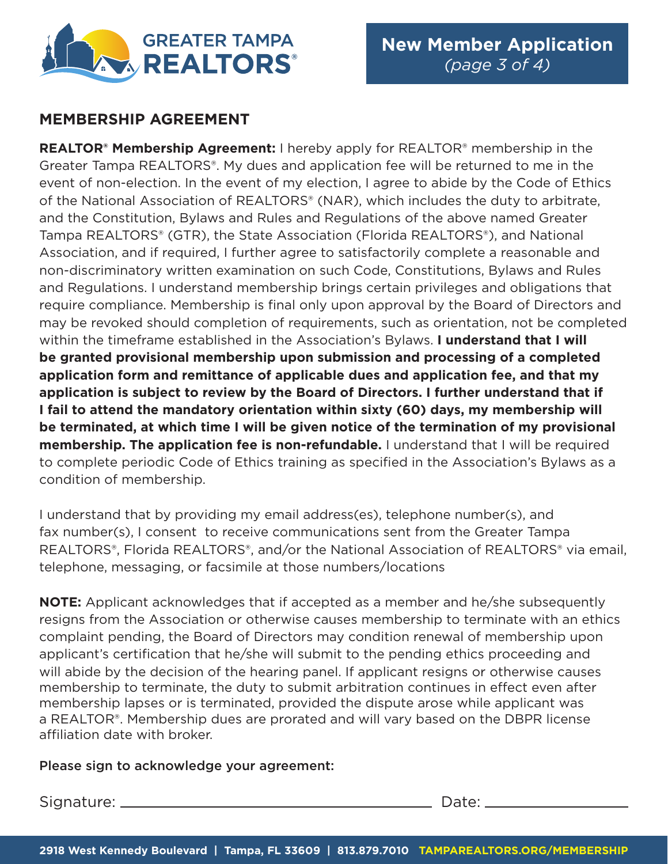

## **MEMBERSHIP AGREEMENT**

**REALTOR® Membership Agreement:** I hereby apply for REALTOR® membership in the Greater Tampa REALTORS®. My dues and application fee will be returned to me in the event of non-election. In the event of my election, I agree to abide by the Code of Ethics of the National Association of REALTORS® (NAR), which includes the duty to arbitrate, and the Constitution, Bylaws and Rules and Regulations of the above named Greater Tampa REALTORS® (GTR), the State Association (Florida REALTORS®), and National Association, and if required, I further agree to satisfactorily complete a reasonable and non-discriminatory written examination on such Code, Constitutions, Bylaws and Rules and Regulations. I understand membership brings certain privileges and obligations that require compliance. Membership is final only upon approval by the Board of Directors and may be revoked should completion of requirements, such as orientation, not be completed within the timeframe established in the Association's Bylaws. **I understand that I will be granted provisional membership upon submission and processing of a completed application form and remittance of applicable dues and application fee, and that my application is subject to review by the Board of Directors. I further understand that if I fail to attend the mandatory orientation within sixty (60) days, my membership will be terminated, at which time I will be given notice of the termination of my provisional membership. The application fee is non-refundable.** I understand that I will be required to complete periodic Code of Ethics training as specified in the Association's Bylaws as a condition of membership.

I understand that by providing my email address(es), telephone number(s), and fax number(s), I consent to receive communications sent from the Greater Tampa REALTORS®, Florida REALTORS®, and/or the National Association of REALTORS® via email, telephone, messaging, or facsimile at those numbers/locations

**NOTE:** Applicant acknowledges that if accepted as a member and he/she subsequently resigns from the Association or otherwise causes membership to terminate with an ethics complaint pending, the Board of Directors may condition renewal of membership upon applicant's certification that he/she will submit to the pending ethics proceeding and will abide by the decision of the hearing panel. If applicant resigns or otherwise causes membership to terminate, the duty to submit arbitration continues in effect even after membership lapses or is terminated, provided the dispute arose while applicant was a REALTOR®. Membership dues are prorated and will vary based on the DBPR license affiliation date with broker.

## Please sign to acknowledge your agreement:

Signature: Date: